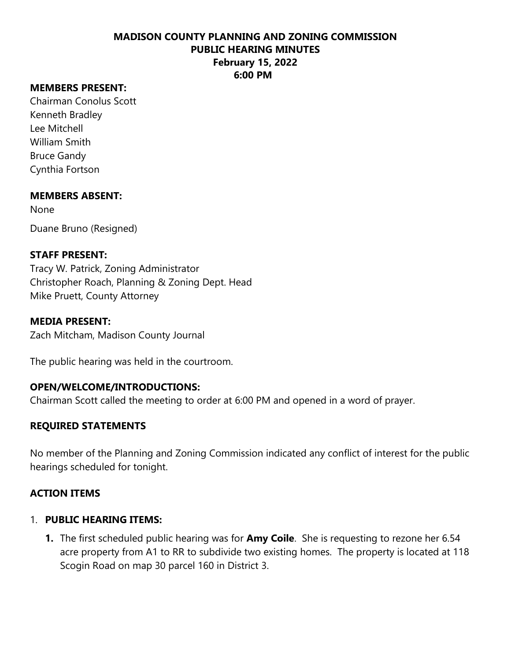## **MEMBERS PRESENT:**

Chairman Conolus Scott Kenneth Bradley Lee Mitchell William Smith Bruce Gandy Cynthia Fortson

### **MEMBERS ABSENT:**

None

Duane Bruno (Resigned)

# **STAFF PRESENT:**

Tracy W. Patrick, Zoning Administrator Christopher Roach, Planning & Zoning Dept. Head Mike Pruett, County Attorney

### **MEDIA PRESENT:**

Zach Mitcham, Madison County Journal

The public hearing was held in the courtroom.

### **OPEN/WELCOME/INTRODUCTIONS:**

Chairman Scott called the meeting to order at 6:00 PM and opened in a word of prayer.

# **REQUIRED STATEMENTS**

No member of the Planning and Zoning Commission indicated any conflict of interest for the public hearings scheduled for tonight.

### **ACTION ITEMS**

## 1. **PUBLIC HEARING ITEMS:**

**1.** The first scheduled public hearing was for **Amy Coile**. She is requesting to rezone her 6.54 acre property from A1 to RR to subdivide two existing homes. The property is located at 118 Scogin Road on map 30 parcel 160 in District 3.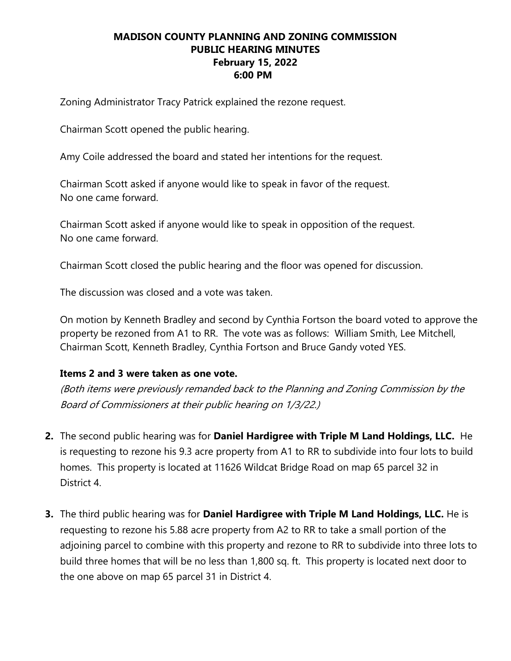Zoning Administrator Tracy Patrick explained the rezone request.

Chairman Scott opened the public hearing.

Amy Coile addressed the board and stated her intentions for the request.

Chairman Scott asked if anyone would like to speak in favor of the request. No one came forward.

Chairman Scott asked if anyone would like to speak in opposition of the request. No one came forward.

Chairman Scott closed the public hearing and the floor was opened for discussion.

The discussion was closed and a vote was taken.

On motion by Kenneth Bradley and second by Cynthia Fortson the board voted to approve the property be rezoned from A1 to RR. The vote was as follows: William Smith, Lee Mitchell, Chairman Scott, Kenneth Bradley, Cynthia Fortson and Bruce Gandy voted YES.

### **Items 2 and 3 were taken as one vote.**

(Both items were previously remanded back to the Planning and Zoning Commission by the Board of Commissioners at their public hearing on 1/3/22.)

- **2.** The second public hearing was for **Daniel Hardigree with Triple M Land Holdings, LLC.** He is requesting to rezone his 9.3 acre property from A1 to RR to subdivide into four lots to build homes. This property is located at 11626 Wildcat Bridge Road on map 65 parcel 32 in District 4.
- **3.** The third public hearing was for **Daniel Hardigree with Triple M Land Holdings, LLC.** He is requesting to rezone his 5.88 acre property from A2 to RR to take a small portion of the adjoining parcel to combine with this property and rezone to RR to subdivide into three lots to build three homes that will be no less than 1,800 sq. ft. This property is located next door to the one above on map 65 parcel 31 in District 4.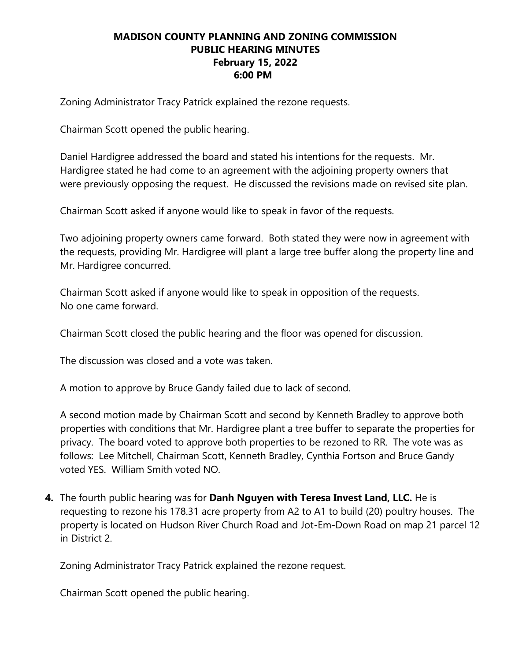Zoning Administrator Tracy Patrick explained the rezone requests.

Chairman Scott opened the public hearing.

Daniel Hardigree addressed the board and stated his intentions for the requests. Mr. Hardigree stated he had come to an agreement with the adjoining property owners that were previously opposing the request. He discussed the revisions made on revised site plan.

Chairman Scott asked if anyone would like to speak in favor of the requests.

Two adjoining property owners came forward. Both stated they were now in agreement with the requests, providing Mr. Hardigree will plant a large tree buffer along the property line and Mr. Hardigree concurred.

Chairman Scott asked if anyone would like to speak in opposition of the requests. No one came forward.

Chairman Scott closed the public hearing and the floor was opened for discussion.

The discussion was closed and a vote was taken.

A motion to approve by Bruce Gandy failed due to lack of second.

A second motion made by Chairman Scott and second by Kenneth Bradley to approve both properties with conditions that Mr. Hardigree plant a tree buffer to separate the properties for privacy. The board voted to approve both properties to be rezoned to RR. The vote was as follows: Lee Mitchell, Chairman Scott, Kenneth Bradley, Cynthia Fortson and Bruce Gandy voted YES. William Smith voted NO.

**4.** The fourth public hearing was for **Danh Nguyen with Teresa Invest Land, LLC.** He is requesting to rezone his 178.31 acre property from A2 to A1 to build (20) poultry houses. The property is located on Hudson River Church Road and Jot-Em-Down Road on map 21 parcel 12 in District 2.

Zoning Administrator Tracy Patrick explained the rezone request.

Chairman Scott opened the public hearing.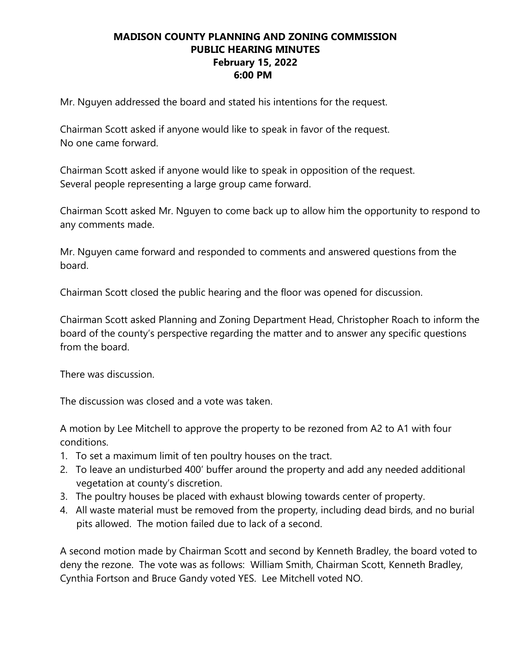Mr. Nguyen addressed the board and stated his intentions for the request.

Chairman Scott asked if anyone would like to speak in favor of the request. No one came forward.

Chairman Scott asked if anyone would like to speak in opposition of the request. Several people representing a large group came forward.

Chairman Scott asked Mr. Nguyen to come back up to allow him the opportunity to respond to any comments made.

Mr. Nguyen came forward and responded to comments and answered questions from the board.

Chairman Scott closed the public hearing and the floor was opened for discussion.

Chairman Scott asked Planning and Zoning Department Head, Christopher Roach to inform the board of the county's perspective regarding the matter and to answer any specific questions from the board.

There was discussion.

The discussion was closed and a vote was taken.

A motion by Lee Mitchell to approve the property to be rezoned from A2 to A1 with four conditions.

- 1. To set a maximum limit of ten poultry houses on the tract.
- 2. To leave an undisturbed 400' buffer around the property and add any needed additional vegetation at county's discretion.
- 3. The poultry houses be placed with exhaust blowing towards center of property.
- 4. All waste material must be removed from the property, including dead birds, and no burial pits allowed. The motion failed due to lack of a second.

A second motion made by Chairman Scott and second by Kenneth Bradley, the board voted to deny the rezone. The vote was as follows: William Smith, Chairman Scott, Kenneth Bradley, Cynthia Fortson and Bruce Gandy voted YES. Lee Mitchell voted NO.